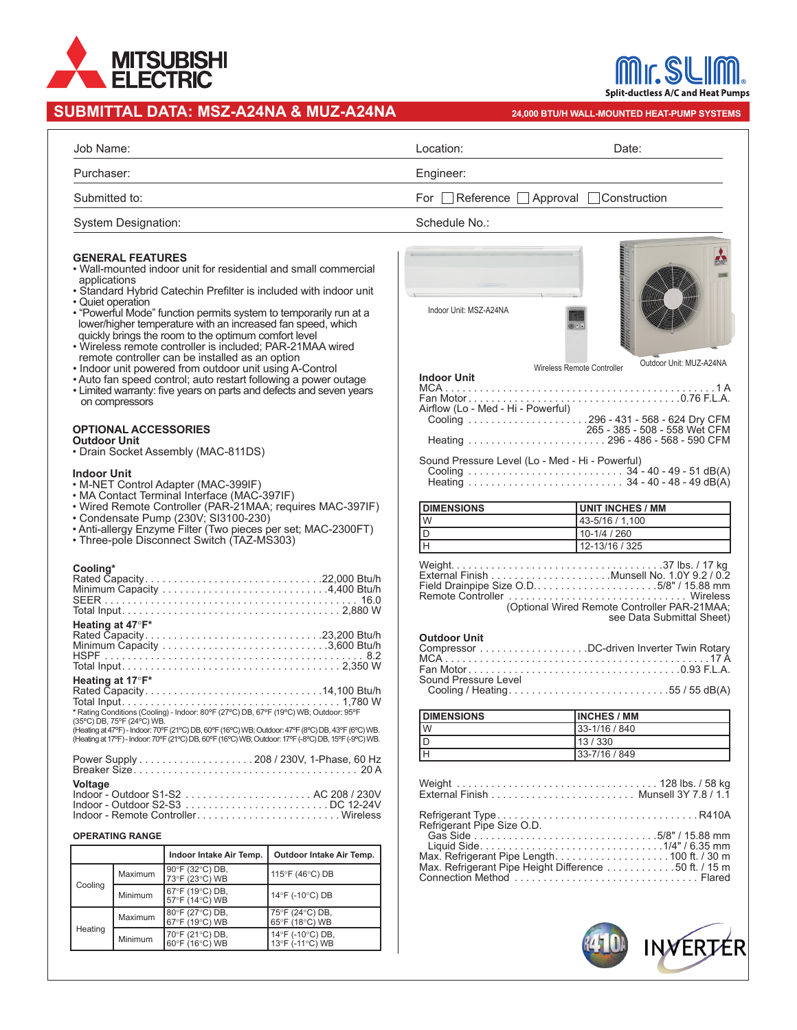

## **SUBMITTAL DATA: MSZ-A24NA & MUZ-A24NA**

|                                                                                                                                                                                                                                                                                                                                                                                                                                                                                                                                                                                                                                                                                                                                                                                                                                                                                                                                                                                                                                                                                                                                                                      |                                      |                                                        | UDIVII I IAL DATA. IVIJE-AZ4NA & IVIUZ-AZ4NA                                                       |                                                                                                                                                                                                                                                                                                                                                       | 24,000 BTU/H WALL-MOUNTED HEAT-PUMP SYSTEMS                                                              |
|----------------------------------------------------------------------------------------------------------------------------------------------------------------------------------------------------------------------------------------------------------------------------------------------------------------------------------------------------------------------------------------------------------------------------------------------------------------------------------------------------------------------------------------------------------------------------------------------------------------------------------------------------------------------------------------------------------------------------------------------------------------------------------------------------------------------------------------------------------------------------------------------------------------------------------------------------------------------------------------------------------------------------------------------------------------------------------------------------------------------------------------------------------------------|--------------------------------------|--------------------------------------------------------|----------------------------------------------------------------------------------------------------|-------------------------------------------------------------------------------------------------------------------------------------------------------------------------------------------------------------------------------------------------------------------------------------------------------------------------------------------------------|----------------------------------------------------------------------------------------------------------|
| Job Name:                                                                                                                                                                                                                                                                                                                                                                                                                                                                                                                                                                                                                                                                                                                                                                                                                                                                                                                                                                                                                                                                                                                                                            |                                      |                                                        |                                                                                                    | Location:                                                                                                                                                                                                                                                                                                                                             | Date:                                                                                                    |
| Purchaser:                                                                                                                                                                                                                                                                                                                                                                                                                                                                                                                                                                                                                                                                                                                                                                                                                                                                                                                                                                                                                                                                                                                                                           |                                      |                                                        |                                                                                                    | Engineer:                                                                                                                                                                                                                                                                                                                                             |                                                                                                          |
| Submitted to:                                                                                                                                                                                                                                                                                                                                                                                                                                                                                                                                                                                                                                                                                                                                                                                                                                                                                                                                                                                                                                                                                                                                                        |                                      |                                                        |                                                                                                    | $\Box$ Reference $\Box$ Approval $\Box$ Construction<br>For 1                                                                                                                                                                                                                                                                                         |                                                                                                          |
| <b>System Designation:</b>                                                                                                                                                                                                                                                                                                                                                                                                                                                                                                                                                                                                                                                                                                                                                                                                                                                                                                                                                                                                                                                                                                                                           |                                      |                                                        |                                                                                                    | Schedule No.:                                                                                                                                                                                                                                                                                                                                         |                                                                                                          |
| <b>GENERAL FEATURES</b><br>• Wall-mounted indoor unit for residential and small commercial<br>applications<br>• Standard Hybrid Catechin Prefilter is included with indoor unit<br>• Quiet operation<br>• "Powerful Mode" function permits system to temporarily run at a<br>lower/higher temperature with an increased fan speed, which<br>quickly brings the room to the optimum comfort level<br>· Wireless remote controller is included; PAR-21MAA wired<br>remote controller can be installed as an option<br>• Indoor unit powered from outdoor unit using A-Control<br>• Auto fan speed control; auto restart following a power outage<br>. Limited warranty: five years on parts and defects and seven years<br>on compressors<br><b>OPTIONAL ACCESSORIES</b><br><b>Outdoor Unit</b><br>• Drain Socket Assembly (MAC-811DS)<br><b>Indoor Unit</b><br>• M-NET Control Adapter (MAC-399IF)<br>• MA Contact Terminal Interface (MAC-397IF)<br>• Wired Remote Controller (PAR-21MAA; requires MAC-397IF)<br>• Condensate Pump (230V; SI3100-230)<br>• Anti-allergy Enzyme Filter (Two pieces per set; MAC-2300FT)<br>• Three-pole Disconnect Switch (TAZ-MS303) |                                      |                                                        |                                                                                                    | Indoor Unit: MSZ-A24NA<br>Outdoor Unit: MUZ-A24NA<br>Wireless Remote Controller<br><b>Indoor Unit</b><br>Airflow (Lo - Med - Hi - Powerful)<br>Sound Pressure Level (Lo - Med - Hi - Powerful)<br><b>DIMENSIONS</b><br><b>UNIT INCHES / MM</b><br>$\overline{W}$<br>43-5/16 / 1,100<br>$\overline{\mathsf{D}}$<br>$10-1/4/260$<br>π<br>12-13/16 / 325 |                                                                                                          |
| Cooling*                                                                                                                                                                                                                                                                                                                                                                                                                                                                                                                                                                                                                                                                                                                                                                                                                                                                                                                                                                                                                                                                                                                                                             |                                      |                                                        |                                                                                                    | (Optional Wired Remote Controller PAR-21MAA;                                                                                                                                                                                                                                                                                                          |                                                                                                          |
|                                                                                                                                                                                                                                                                                                                                                                                                                                                                                                                                                                                                                                                                                                                                                                                                                                                                                                                                                                                                                                                                                                                                                                      | Heating at 47°F*<br>Heating at 17°F* |                                                        |                                                                                                    | <b>Outdoor Unit</b><br>Sound Pressure Level                                                                                                                                                                                                                                                                                                           | see Data Submittal Sheet)<br>Compressor DC-driven Inverter Twin Rotary<br>Cooling / Heating55 / 55 dB(A) |
|                                                                                                                                                                                                                                                                                                                                                                                                                                                                                                                                                                                                                                                                                                                                                                                                                                                                                                                                                                                                                                                                                                                                                                      | (35°C) DB, 75°F (24°C) WB.           |                                                        |                                                                                                    | <b>DIMENSIONS</b>                                                                                                                                                                                                                                                                                                                                     | <b>INCHES / MM</b>                                                                                       |
|                                                                                                                                                                                                                                                                                                                                                                                                                                                                                                                                                                                                                                                                                                                                                                                                                                                                                                                                                                                                                                                                                                                                                                      |                                      |                                                        | (Heating at 47°F) - Indoor: 70°F (21°C) DB, 60°F (16°C) WB; Outdoor: 47°F (8°C) DB, 43°F (6°C) WB. | W                                                                                                                                                                                                                                                                                                                                                     | 33-1/16 / 840                                                                                            |
| (Heating at 17°F) - Indoor: 70°F (21°C) DB, 60°F (16°C) WB; Outdoor: 17°F (-8°C) DB, 15°F (-9°C) WB.                                                                                                                                                                                                                                                                                                                                                                                                                                                                                                                                                                                                                                                                                                                                                                                                                                                                                                                                                                                                                                                                 |                                      |                                                        |                                                                                                    | D<br>ĪН                                                                                                                                                                                                                                                                                                                                               | 13/330<br>33-7/16 / 849                                                                                  |
| <b>Voltage</b>                                                                                                                                                                                                                                                                                                                                                                                                                                                                                                                                                                                                                                                                                                                                                                                                                                                                                                                                                                                                                                                                                                                                                       |                                      |                                                        | Indoor - Remote ControllerWireless                                                                 |                                                                                                                                                                                                                                                                                                                                                       |                                                                                                          |
|                                                                                                                                                                                                                                                                                                                                                                                                                                                                                                                                                                                                                                                                                                                                                                                                                                                                                                                                                                                                                                                                                                                                                                      | <b>OPERATING RANGE</b>               |                                                        |                                                                                                    | Refrigerant Pipe Size O.D.                                                                                                                                                                                                                                                                                                                            |                                                                                                          |
|                                                                                                                                                                                                                                                                                                                                                                                                                                                                                                                                                                                                                                                                                                                                                                                                                                                                                                                                                                                                                                                                                                                                                                      |                                      | Indoor Intake Air Temp.                                | Outdoor Intake Air Temp.                                                                           |                                                                                                                                                                                                                                                                                                                                                       |                                                                                                          |
| Cooling                                                                                                                                                                                                                                                                                                                                                                                                                                                                                                                                                                                                                                                                                                                                                                                                                                                                                                                                                                                                                                                                                                                                                              | Maximum                              | 90°F (32°C) DB,<br>73°F (23°C) WB                      | 115°F (46°C) DB                                                                                    |                                                                                                                                                                                                                                                                                                                                                       | Max. Refrigerant Pipe Height Difference 50 ft. / 15 m                                                    |
|                                                                                                                                                                                                                                                                                                                                                                                                                                                                                                                                                                                                                                                                                                                                                                                                                                                                                                                                                                                                                                                                                                                                                                      | Minimum                              | 67°F (19°C) DB,<br>$57^{\circ}$ F (14 $^{\circ}$ C) WB | 14°F (-10°C) DB                                                                                    |                                                                                                                                                                                                                                                                                                                                                       |                                                                                                          |
|                                                                                                                                                                                                                                                                                                                                                                                                                                                                                                                                                                                                                                                                                                                                                                                                                                                                                                                                                                                                                                                                                                                                                                      | Maximum                              | 80°F (27°C) DB,<br>67°F (19°C) WB                      | 75°F (24°C) DB,<br>65°F (18°C) WB                                                                  |                                                                                                                                                                                                                                                                                                                                                       |                                                                                                          |
| Heating                                                                                                                                                                                                                                                                                                                                                                                                                                                                                                                                                                                                                                                                                                                                                                                                                                                                                                                                                                                                                                                                                                                                                              |                                      | 70°F (21°C) DB,                                        | 14°F (-10°C) DB,                                                                                   |                                                                                                                                                                                                                                                                                                                                                       |                                                                                                          |